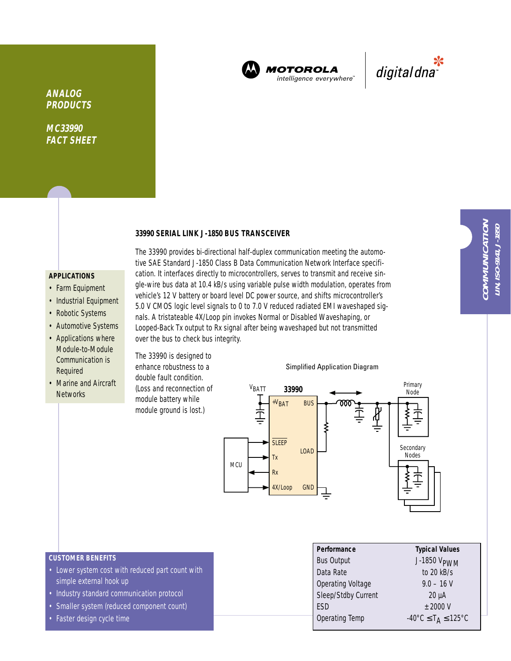

**MOTOROLA** intelligence everywhere<sup>®</sup>



**ANALOG PRODUCTS**

**MC33990 FACT SHEET**

## **33990 SERIAL LINK J-1850 BUS TRANSCEIVER**

# **APPLICATIONS**

- Farm Equipment
- Industrial Equipment
- Robotic Systems
- Automotive Systems
- Applications where Module-to-Module Communication is Required
- Marine and Aircraft **Networks**

The 33990 provides bi-directional half-duplex communication meeting the automotive SAE Standard J-1850 Class B Data Communication Network Interface specification. It interfaces directly to microcontrollers, serves to transmit and receive single-wire bus data at 10.4 kB/s using variable pulse width modulation, operates from vehicle's 12 V battery or board level DC power source, and shifts microcontroller's 5.0 V CMOS logic level signals to 0 to 7.0 V reduced radiated EMI waveshaped signals. A tristateable 4X/Loop pin invokes Normal or Disabled Waveshaping, or Looped-Back Tx output to Rx signal after being waveshaped but not transmitted over the bus to check bus integrity.

The 33990 is designed to enhance robustness to a double fault condition. (Loss and reconnection of module battery while module ground is lost.)

Simplified Application Diagram



### **CUSTOMER BENEFITS**

- Lower system cost with reduced part count with simple external hook up
- Industry standard communication protocol
- Smaller system (reduced component count)
- Faster design cycle time

| Performance              | <b>Typical Values</b>                                         |
|--------------------------|---------------------------------------------------------------|
| <b>Bus Output</b>        | J-1850 V <sub>PWM</sub>                                       |
| Data Rate                | to 20 kB/s                                                    |
| <b>Operating Voltage</b> | $9.0 - 16$ V                                                  |
| Sleep/Stdby Current      | $20 \mu A$                                                    |
| <b>FSD</b>               | $±$ 2000 V                                                    |
| Operating Temp           | $-40^{\circ}$ C $\leq$ T <sub>A</sub> $\leq$ 125 $^{\circ}$ C |